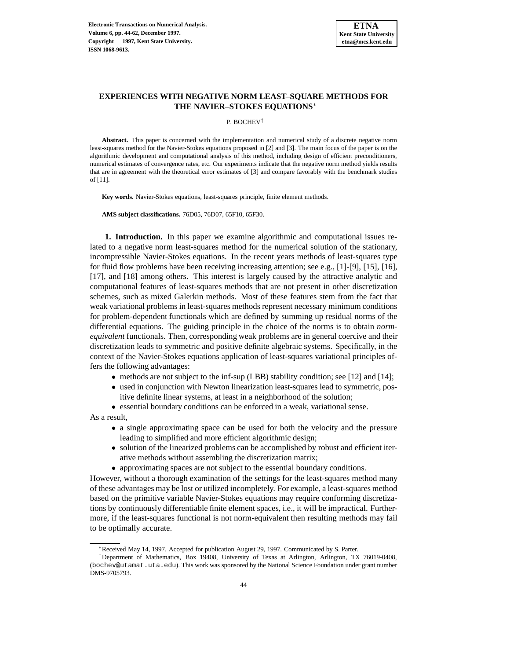

# **EXPERIENCES WITH NEGATIVE NORM LEAST–SQUARE METHODS FOR THE NAVIER–STOKES EQUATIONS**<sup>∗</sup>

P. BOCHEV†

**Abstract.** This paper is concerned with the implementation and numerical study of a discrete negative norm least-squares method for the Navier-Stokes equations proposed in [2] and [3]. The main focus of the paper is on the algorithmic development and computational analysis of this method, including design of efficient preconditioners, numerical estimates of convergence rates, etc. Our experiments indicate that the negative norm method yields results that are in agreement with the theoretical error estimates of [3] and compare favorably with the benchmark studies of [11].

**Key words.** Navier-Stokes equations, least-squares principle, finite element methods.

**AMS subject classifications.** 76D05, 76D07, 65F10, 65F30.

**1. Introduction.** In this paper we examine algorithmic and computational issues related to a negative norm least-squares method for the numerical solution of the stationary, incompressible Navier-Stokes equations. In the recent years methods of least-squares type for fluid flow problems have been receiving increasing attention; see e.g., [1]-[9], [15], [16], [17], and [18] among others. This interest is largely caused by the attractive analytic and computational features of least-squares methods that are not present in other discretization schemes, such as mixed Galerkin methods. Most of these features stem from the fact that weak variational problems in least-squares methods represent necessary minimum conditions for problem-dependent functionals which are defined by summing up residual norms of the differential equations. The guiding principle in the choice of the norms is to obtain *normequivalent* functionals. Then, corresponding weak problems are in general coercive and their discretization leads to symmetric and positive definite algebraic systems. Specifically, in the context of the Navier-Stokes equations application of least-squares variational principles offers the following advantages:

- methods are not subject to the inf-sup (LBB) stability condition; see [12] and [14];
- used in conjunction with Newton linearization least-squares lead to symmetric, positive definite linear systems, at least in a neighborhood of the solution;
- essential boundary conditions can be enforced in a weak, variational sense.

As a result,

- a single approximating space can be used for both the velocity and the pressure leading to simplified and more efficient algorithmic design;
- solution of the linearized problems can be accomplished by robust and efficient iterative methods without assembling the discretization matrix;
- approximating spaces are not subject to the essential boundary conditions.

However, without a thorough examination of the settings for the least-squares method many of these advantages may be lost or utilized incompletely. For example, a least-squares method based on the primitive variable Navier-Stokes equations may require conforming discretizations by continuously differentiable finite element spaces, i.e., it will be impractical. Furthermore, if the least-squares functional is not norm-equivalent then resulting methods may fail to be optimally accurate.

<sup>∗</sup>Received May 14, 1997. Accepted for publication August 29, 1997. Communicated by S. Parter.

<sup>†</sup>Department of Mathematics, Box 19408, University of Texas at Arlington, Arlington, TX 76019-0408, (bochev@utamat.uta.edu). This work was sponsored by the National Science Foundation under grant number DMS-9705793.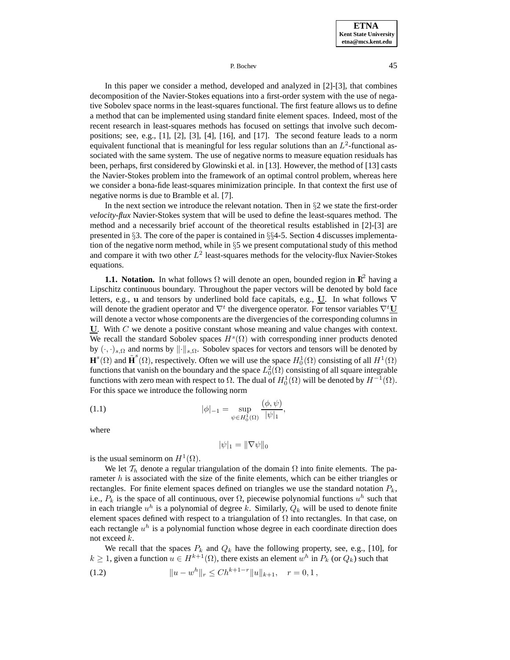In this paper we consider a method, developed and analyzed in [2]-[3], that combines decomposition of the Navier-Stokes equations into a first-order system with the use of negative Sobolev space norms in the least-squares functional. The first feature allows us to define a method that can be implemented using standard finite element spaces. Indeed, most of the recent research in least-squares methods has focused on settings that involve such decompositions; see, e.g., [1], [2], [3], [4], [16], and [17]. The second feature leads to a norm equivalent functional that is meaningful for less regular solutions than an  $L^2$ -functional associated with the same system. The use of negative norms to measure equation residuals has been, perhaps, first considered by Glowinski et al. in [13]. However, the method of [13] casts the Navier-Stokes problem into the framework of an optimal control problem, whereas here we consider a bona-fide least-squares minimization principle. In that context the first use of negative norms is due to Bramble et al. [7].

In the next section we introduce the relevant notation. Then in  $\S2$  we state the first-order *velocity-flux* Navier-Stokes system that will be used to define the least-squares method. The method and a necessarily brief account of the theoretical results established in [2]-[3] are presented in §3. The core of the paper is contained in §§4-5. Section 4 discusses implementation of the negative norm method, while in §5 we present computational study of this method and compare it with two other  $L^2$  least-squares methods for the velocity-flux Navier-Stokes equations.

**1.1. Notation.** In what follows  $\Omega$  will denote an open, bounded region in  $\mathbb{R}^2$  having a Lipschitz continuous boundary. Throughout the paper vectors will be denoted by bold face letters, e.g., **u** and tensors by underlined bold face capitals, e.g., **U**. In what follows ∇ will denote the gradient operator and  $\nabla^t$  the divergence operator. For tensor variables  $\nabla^t \underline{U}$ will denote a vector whose components are the divergencies of the corresponding columns in **U**. With C we denote a positive constant whose meaning and value changes with context. We recall the standard Sobolev spaces  $H<sup>s</sup>(\Omega)$  with corresponding inner products denoted by  $(\cdot, \cdot)_{s,\Omega}$  and norms by  $\|\cdot\|_{s,\Omega}$ . Sobolev spaces for vectors and tensors will be denoted by  $\mathbf{H}^{s}(\Omega)$  and  $\tilde{\mathbf{H}}^{s}(\Omega)$ , respectively. Often we will use the space  $H_0^1(\Omega)$  consisting of all  $H^1(\Omega)$ functions that vanish on the boundary and the space  $L_0^2(\Omega)$  consisting of all square integrable functions with zero mean with respect to  $\Omega$ . The dual of  $H_0^1(\Omega)$  will be denoted by  $H^{-1}(\Omega)$ . For this space we introduce the following norm

(1.1) 
$$
|\phi|_{-1} = \sup_{\psi \in H_0^1(\Omega)} \frac{(\phi, \psi)}{|\psi|_1},
$$

where

$$
|\psi|_1 = \|\nabla \psi\|_0
$$

is the usual seminorm on  $H^1(\Omega)$ .

We let  $\mathcal{T}_h$  denote a regular triangulation of the domain  $\Omega$  into finite elements. The parameter  $h$  is associated with the size of the finite elements, which can be either triangles or rectangles. For finite element spaces defined on triangles we use the standard notation  $P_k$ , i.e.,  $P_k$  is the space of all continuous, over  $\Omega$ , piecewise polynomial functions  $u^h$  such that in each triangle  $u^h$  is a polynomial of degree k. Similarly,  $Q_k$  will be used to denote finite element spaces defined with respect to a triangulation of  $\Omega$  into rectangles. In that case, on each rectangle  $u^h$  is a polynomial function whose degree in each coordinate direction does not exceed  $k$ .

We recall that the spaces  $P_k$  and  $Q_k$  have the following property, see, e.g., [10], for  $k \ge 1$ , given a function  $u \in H^{k+1}(\Omega)$ , there exists an element  $w^h$  in  $P_k$  (or  $Q_k$ ) such that

$$
(1.2) \t\t\t ||u - wh||r \le Chk+1-r||u||k+1, r = 0, 1,
$$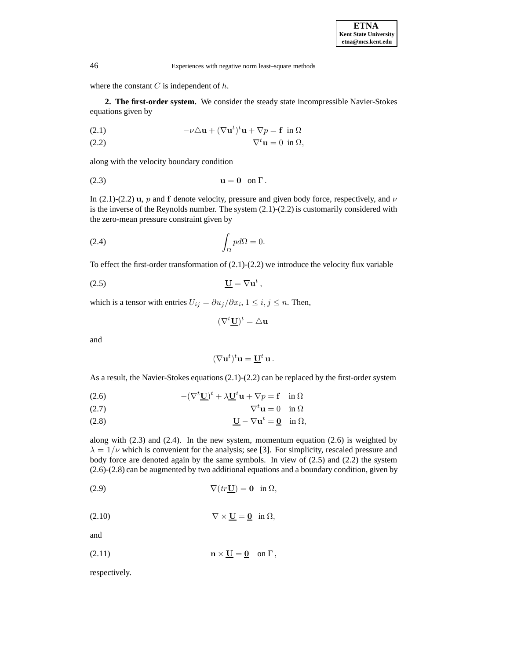where the constant  $C$  is independent of  $h$ .

**2. The first-order system.** We consider the steady state incompressible Navier-Stokes equations given by

(2.1) 
$$
-\nu \triangle \mathbf{u} + (\nabla \mathbf{u}^t)^t \mathbf{u} + \nabla p = \mathbf{f} \text{ in } \Omega
$$

$$
\nabla^t \mathbf{u} = 0 \text{ in } \Omega,
$$

along with the velocity boundary condition

(2.3) **u** = **0** on Γ .

In (2.1)-(2.2) **u**, p and **f** denote velocity, pressure and given body force, respectively, and  $\nu$ is the inverse of the Reynolds number. The system (2.1)-(2.2) is customarily considered with the zero-mean pressure constraint given by

$$
\int_{\Omega} p d\Omega = 0.
$$

To effect the first-order transformation of (2.1)-(2.2) we introduce the velocity flux variable

$$
\underline{\mathbf{U}} = \nabla \mathbf{u}^t \,,
$$

which is a tensor with entries  $U_{ij} = \frac{\partial u_j}{\partial x_i}$ ,  $1 \le i, j \le n$ . Then,

$$
(\nabla^t \underline{\mathbf{U}})^t = \triangle \mathbf{u}
$$

and

$$
(\nabla \mathbf{u}^t)^t \mathbf{u} = \underline{\mathbf{U}}^t \mathbf{u}.
$$

As a result, the Navier-Stokes equations (2.1)-(2.2) can be replaced by the first-order system

(2.6) 
$$
-(\nabla^t \underline{\mathbf{U}})^t + \lambda \underline{\mathbf{U}}^t \mathbf{u} + \nabla p = \mathbf{f} \quad \text{in } \Omega
$$

$$
\nabla^t \mathbf{u} = 0 \quad \text{in } \Omega
$$

$$
(2.8) \t\t\t \underline{\mathbf{U}} - \nabla \mathbf{u}^t = \underline{\mathbf{0}} \quad \text{in } \Omega,
$$

along with (2.3) and (2.4). In the new system, momentum equation (2.6) is weighted by  $\lambda = 1/\nu$  which is convenient for the analysis; see [3]. For simplicity, rescaled pressure and body force are denoted again by the same symbols. In view of (2.5) and (2.2) the system (2.6)-(2.8) can be augmented by two additional equations and a boundary condition, given by

$$
\nabla(tr\underline{\mathbf{U}}) = \mathbf{0} \quad \text{in } \Omega,
$$

$$
\nabla \times \underline{\mathbf{U}} = \underline{\mathbf{0}} \quad \text{in } \Omega,
$$

and

(2.11) **n** × **U** = **0** on Γ,

respectively.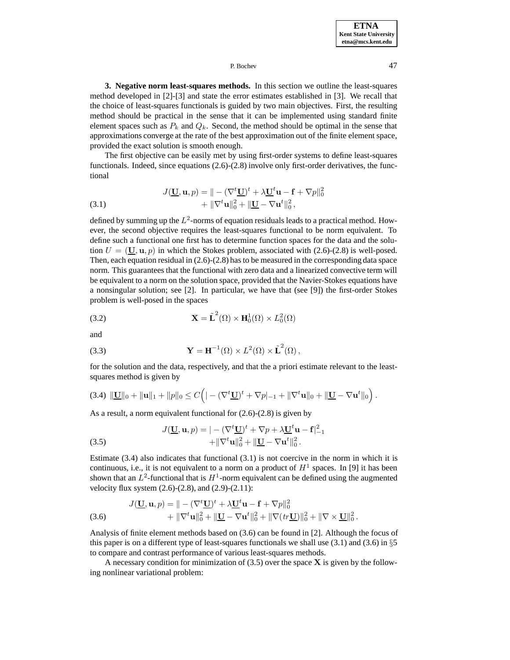**3. Negative norm least-squares methods.** In this section we outline the least-squares method developed in [2]-[3] and state the error estimates established in [3]. We recall that the choice of least-squares functionals is guided by two main objectives. First, the resulting method should be practical in the sense that it can be implemented using standard finite element spaces such as  $P_k$  and  $Q_k$ . Second, the method should be optimal in the sense that approximations converge at the rate of the best approximation out of the finite element space, provided the exact solution is smooth enough.

The first objective can be easily met by using first-order systems to define least-squares functionals. Indeed, since equations (2.6)-(2.8) involve only first-order derivatives, the functional

(3.1) 
$$
J(\underline{\mathbf{U}}, \mathbf{u}, p) = || -(\nabla^t \underline{\mathbf{U}})^t + \lambda \underline{\mathbf{U}}^t \mathbf{u} - \mathbf{f} + \nabla p ||_0^2 + ||\nabla^t \mathbf{u}||_0^2 + ||\underline{\mathbf{U}} - \nabla \mathbf{u}^t||_0^2,
$$

defined by summing up the  $L^2$ -norms of equation residuals leads to a practical method. However, the second objective requires the least-squares functional to be norm equivalent. To define such a functional one first has to determine function spaces for the data and the solution  $U = (\mathbf{U}, \mathbf{u}, p)$  in which the Stokes problem, associated with (2.6)-(2.8) is well-posed. Then, each equation residual in (2.6)-(2.8) has to be measured in the corresponding data space norm. This guarantees that the functional with zero data and a linearized convective term will be equivalent to a norm on the solution space, provided that the Navier-Stokes equations have a nonsingular solution; see [2]. In particular, we have that (see [9]) the first-order Stokes problem is well-posed in the spaces

(3.2) 
$$
\mathbf{X} = \tilde{\mathbf{L}}^2(\Omega) \times \mathbf{H}_0^1(\Omega) \times L_0^2(\Omega)
$$

and

(3.3) 
$$
\mathbf{Y} = \mathbf{H}^{-1}(\Omega) \times L^2(\Omega) \times \tilde{\mathbf{L}}^2(\Omega),
$$

for the solution and the data, respectively, and that the a priori estimate relevant to the leastsquares method is given by

$$
(3.4) \|\underline{\mathbf{U}}\|_{0} + \|\mathbf{u}\|_{1} + \|p\|_{0} \leq C \Big( |-(\nabla^{t} \underline{\mathbf{U}})^{t} + \nabla p|_{-1} + \|\nabla^{t} \mathbf{u}\|_{0} + \|\underline{\mathbf{U}} - \nabla \mathbf{u}^{t}\|_{0} \Big).
$$

As a result, a norm equivalent functional for (2.6)-(2.8) is given by

(3.5) 
$$
J(\underline{\mathbf{U}}, \mathbf{u}, p) = |-(\nabla^t \underline{\mathbf{U}})^t + \nabla p + \lambda \underline{\mathbf{U}}^t \mathbf{u} - \mathbf{f}|_{-1}^2 + \|\nabla^t \mathbf{u}\|_0^2 + \|\underline{\mathbf{U}} - \nabla \mathbf{u}^t\|_0^2.
$$

Estimate (3.4) also indicates that functional (3.1) is not coercive in the norm in which it is continuous, i.e., it is not equivalent to a norm on a product of  $H^1$  spaces. In [9] it has been shown that an  $L^2$ -functional that is  $H^1$ -norm equivalent can be defined using the augmented velocity flux system  $(2.6)-(2.8)$ , and  $(2.9)-(2.11)$ :

(3.6) 
$$
J(\underline{\mathbf{U}}, \mathbf{u}, p) = || - (\nabla^t \underline{\mathbf{U}})^t + \lambda \underline{\mathbf{U}}^t \mathbf{u} - \mathbf{f} + \nabla p ||_0^2 + ||\nabla^t \mathbf{u}||_0^2 + ||\nabla^t \mathbf{u}||_0^2 + ||\nabla^t \mathbf{u}||_0^2 + ||\nabla^t \mathbf{u}||_0^2 + ||\nabla^t \mathbf{u}||_0^2 + ||\nabla^t \mathbf{u}||_0^2 + ||\nabla^t \mathbf{u}||_0^2 + ||\nabla^t \mathbf{u}||_0^2 + ||\nabla^t \mathbf{u}||_0^2 + ||\nabla^t \mathbf{u}||_0^2 + ||\nabla^t \mathbf{u}||_0^2 + ||\nabla^t \mathbf{u}||_0^2 + ||\nabla^t \mathbf{u}||_0^2 + ||\nabla^t \mathbf{u}||_0^2 + ||\nabla^t \mathbf{u}||_0^2 + ||\nabla^t \mathbf{u}||_0^2 + ||\nabla^t \mathbf{u}||_0^2 + ||\nabla^t \mathbf{u}||_0^2 + ||\nabla^t \mathbf{u}||_0^2 + ||\nabla^t \mathbf{u}||_0^2 + ||\nabla^t \mathbf{u}||_0^2 + ||\nabla^t \mathbf{u}||_0^2 + ||\nabla^t \mathbf{u}||_0^2 + ||\nabla^t \mathbf{u}||_0^2 + ||\nabla^t \mathbf{u}||_0^2 + ||\nabla^t \mathbf{u}||_0^2 + ||\nabla^t \mathbf{u}||_0^2 + ||\nabla^t \mathbf{u}||_0^2 + ||\nabla^t \mathbf{u}||_0^2 + ||\nabla^t \mathbf{u}||_0^2 + ||\nabla^t \mathbf{u}||_0^2 + ||\nabla^t \mathbf{u}||_0^2 + ||\nabla^t \mathbf{u}||_0^2 + ||\nabla^t \mathbf{u}||_0^2 + ||\nabla^t \mathbf{u}||_0^2 + ||\nabla^t \mathbf{u}||_
$$

Analysis of finite element methods based on (3.6) can be found in [2]. Although the focus of this paper is on a different type of least-squares functionals we shall use  $(3.1)$  and  $(3.6)$  in §5 to compare and contrast performance of various least-squares methods.

A necessary condition for minimization of (3.5) over the space **X** is given by the following nonlinear variational problem: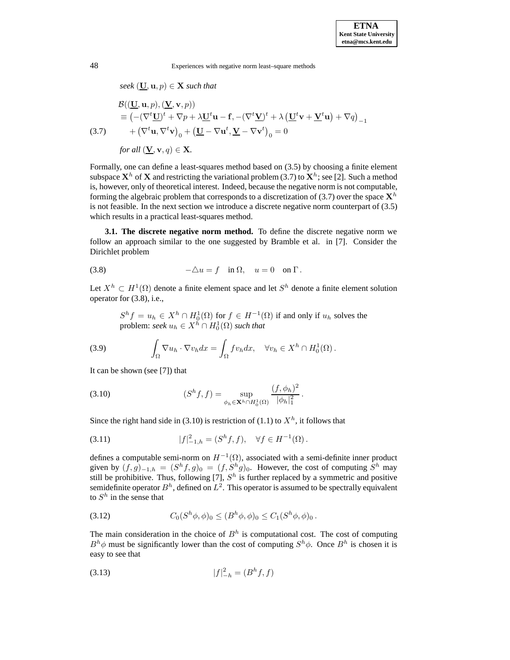$seek$  ( $$ 

(3.7)  
\n
$$
\mathcal{B}((\underline{\mathbf{U}}, \mathbf{u}, p), (\underline{\mathbf{V}}, \mathbf{v}, p))
$$
\n
$$
\equiv (-(\nabla^t \underline{\mathbf{U}})^t + \nabla p + \lambda \underline{\mathbf{U}}^t \mathbf{u} - \mathbf{f}, -(\nabla^t \underline{\mathbf{V}})^t + \lambda (\underline{\mathbf{U}}^t \mathbf{v} + \underline{\mathbf{V}}^t \mathbf{u}) + \nabla q)_{-1}
$$
\n
$$
\quad (3.7) \qquad \qquad + (\nabla^t \mathbf{u}, \nabla^t \mathbf{v})_0 + (\underline{\mathbf{U}} - \nabla \mathbf{u}^t, \underline{\mathbf{V}} - \nabla \mathbf{v}^t)_0 = 0
$$

*for all*  $(\underline{\mathbf{V}}, \mathbf{v}, q) \in \mathbf{X}$ *.* 

Formally, one can define a least-squares method based on (3.5) by choosing a finite element subspace  $X^h$  of X and restricting the variational problem (3.7) to  $X^h$ ; see [2]. Such a method is, however, only of theoretical interest. Indeed, because the negative norm is not computable, forming the algebraic problem that corresponds to a discretization of  $(3.7)$  over the space  $\mathbf{X}^h$ is not feasible. In the next section we introduce a discrete negative norm counterpart of (3.5) which results in a practical least-squares method.

**3.1. The discrete negative norm method.** To define the discrete negative norm we follow an approach similar to the one suggested by Bramble et al. in [7]. Consider the Dirichlet problem

(3.8) 
$$
-\Delta u = f \quad \text{in } \Omega, \quad u = 0 \quad \text{on } \Gamma.
$$

Let  $X^h \subset H^1(\Omega)$  denote a finite element space and let  $S^h$  denote a finite element solution operator for (3.8), i.e.,

 $S^h f = u_h \in X^h \cap H_0^1(\Omega)$  for  $f \in H^{-1}(\Omega)$  if and only if  $u_h$  solves the problem: *seek*  $u_h \in X^h \cap H_0^1(\Omega)$  *such that* 

(3.9) 
$$
\int_{\Omega} \nabla u_h \cdot \nabla v_h dx = \int_{\Omega} f v_h dx, \quad \forall v_h \in X^h \cap H_0^1(\Omega).
$$

It can be shown (see [7]) that

(3.10) 
$$
(S^{h} f, f) = \sup_{\phi_{h} \in \mathbf{X}^{h} \cap H_{0}^{1}(\Omega)} \frac{(f, \phi_{h})^{2}}{|\phi_{h}|_{1}^{2}}.
$$

Since the right hand side in (3.10) is restriction of (1.1) to  $X<sup>h</sup>$ , it follows that

(3.11) 
$$
|f|_{-1,h}^2 = (S^h f, f), \quad \forall f \in H^{-1}(\Omega).
$$

defines a computable semi-norm on  $H^{-1}(\Omega)$ , associated with a semi-definite inner product given by  $(f,g)_{-1,h} = (S^h f, g)_0 = (f, S^h g)_0$ . However, the cost of computing  $S^h$  may still be prohibitive. Thus, following [7],  $S<sup>h</sup>$  is further replaced by a symmetric and positive semidefinite operator  $B<sup>h</sup>$ , defined on  $L<sup>2</sup>$ . This operator is assumed to be spectrally equivalent to  $S<sup>h</sup>$  in the sense that

(3.12) 
$$
C_0(S^h\phi,\phi)_0 \leq (B^h\phi,\phi)_0 \leq C_1(S^h\phi,\phi)_0.
$$

The main consideration in the choice of  $B<sup>h</sup>$  is computational cost. The cost of computing  $B<sup>h</sup>\phi$  must be significantly lower than the cost of computing  $S<sup>h</sup>\phi$ . Once  $B<sup>h</sup>$  is chosen it is easy to see that

$$
(3.13)\t\t\t |f|_{-h}^2 = (B^h f, f)
$$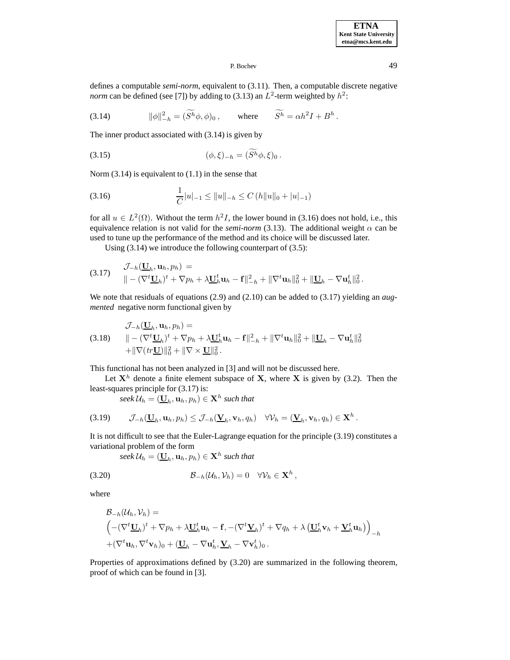defines a computable *semi-norm*, equivalent to (3.11). Then, a computable discrete negative *norm* can be defined (see [7]) by adding to (3.13) an  $L^2$ -term weighted by  $h^2$ :

(3.14) 
$$
\|\phi\|_{-h}^2 = (\widetilde{S}^h \phi, \phi)_0, \quad \text{where} \quad \widetilde{S}^h = \alpha h^2 I + B^h.
$$

The inner product associated with (3.14) is given by

(3.15) 
$$
(\phi,\xi)_{-h} = (\widetilde{S^h}\phi,\xi)_0.
$$

Norm (3.14) is equivalent to (1.1) in the sense that

$$
(3.16) \qquad \qquad \frac{1}{C}|u|_{-1} \le ||u||_{-h} \le C\left(h||u||_0 + |u|_{-1}\right)
$$

for all  $u \in L^2(\Omega)$ . Without the term  $h^2I$ , the lower bound in (3.16) does not hold, i.e., this equivalence relation is not valid for the *semi-norm* (3.13). The additional weight  $\alpha$  can be used to tune up the performance of the method and its choice will be discussed later.

Using (3.14) we introduce the following counterpart of (3.5):

(3.17) 
$$
\mathcal{J}_{-h}(\underline{\mathbf{U}}_h, \mathbf{u}_h, p_h) =
$$

$$
\| - (\nabla^t \underline{\mathbf{U}}_h)^t + \nabla p_h + \lambda \underline{\mathbf{U}}_h^t \mathbf{u}_h - \mathbf{f} \|^2_{-h} + \| \nabla^t \mathbf{u}_h \|^2_{0} + \| \underline{\mathbf{U}}_h - \nabla \mathbf{u}_h^t \|^2_{0}.
$$

We note that residuals of equations (2.9) and (2.10) can be added to (3.17) yielding an *augmented* negative norm functional given by

(3.18) 
$$
\mathcal{J}_{-h}(\underline{\mathbf{U}}_h, \mathbf{u}_h, p_h) =
$$

$$
\| - (\nabla^t \underline{\mathbf{U}}_h)^t + \nabla p_h + \lambda \underline{\mathbf{U}}_h^t \mathbf{u}_h - \mathbf{f} \|_{-h}^2 + \| \nabla^t \mathbf{u}_h \|_0^2 + \| \underline{\mathbf{U}}_h - \nabla \mathbf{u}_h^t \|_0^2
$$

$$
+ \| \nabla (tr\underline{\mathbf{U}}) \|_0^2 + \| \nabla \times \underline{\mathbf{U}} \|_0^2.
$$

This functional has not been analyzed in [3] and will not be discussed here.

Let  $X^h$  denote a finite element subspace of X, where X is given by (3.2). Then the least-squares principle for (3.17) is:

 $\textit{seek } \mathcal{U}_h = (\underline{\mathbf{U}}_h, \mathbf{u}_h, p_h) \in \mathbf{X}^h \text{ such that}$ 

$$
(3.19) \qquad \mathcal{J}_{-h}(\underline{\mathbf{U}}_h, \mathbf{u}_h, p_h) \leq \mathcal{J}_{-h}(\underline{\mathbf{V}}_h, \mathbf{v}_h, q_h) \quad \forall \mathcal{V}_h = (\underline{\mathbf{V}}_h, \mathbf{v}_h, q_h) \in \mathbf{X}^h.
$$

It is not difficult to see that the Euler-Lagrange equation for the principle (3.19) constitutes a variational problem of the form

$$
seek \, \mathcal{U}_h = (\underline{\mathbf{U}}_h, \mathbf{u}_h, p_h) \in \mathbf{X}^h \, \text{such that}
$$

(3.20) 
$$
\mathcal{B}_{-h}(\mathcal{U}_h, \mathcal{V}_h) = 0 \quad \forall \mathcal{V}_h \in \mathbf{X}^h,
$$

where

$$
\mathcal{B}_{-h}(\mathcal{U}_h, \mathcal{V}_h) =
$$
\n
$$
\left( -(\nabla^t \underline{\mathbf{U}}_h)^t + \nabla p_h + \lambda \underline{\mathbf{U}}_h^t \mathbf{u}_h - \mathbf{f}, -(\nabla^t \underline{\mathbf{V}}_h)^t + \nabla q_h + \lambda \left( \underline{\mathbf{U}}_h^t \mathbf{v}_h + \underline{\mathbf{V}}_h^t \mathbf{u}_h \right) \right)_{-h}
$$
\n
$$
+(\nabla^t \mathbf{u}_h, \nabla^t \mathbf{v}_h)_0 + (\underline{\mathbf{U}}_h - \nabla \mathbf{u}_h^t, \underline{\mathbf{V}}_h - \nabla \mathbf{v}_h^t)_0.
$$

Properties of approximations defined by  $(3.20)$  are summarized in the following theorem, proof of which can be found in [3].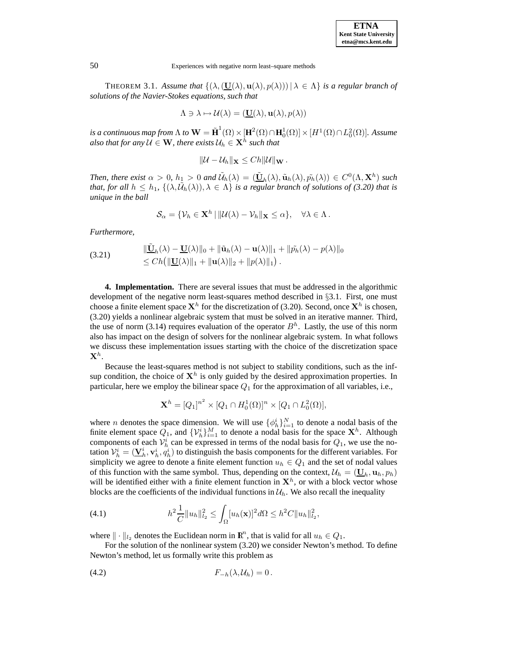| <b>ETNA</b>                  |  |  |  |  |
|------------------------------|--|--|--|--|
| <b>Kent State University</b> |  |  |  |  |
| etna@mcs.kent.edu            |  |  |  |  |

**THEOREM 3.1.** Assume that  $\{(\lambda, (\underline{\mathbf{U}}(\lambda), \mathbf{u}(\lambda), p(\lambda))) | \lambda \in \Lambda \}$  is a regular branch of *solutions of the Navier-Stokes equations, such that*

$$
\Lambda \ni \lambda \mapsto \mathcal{U}(\lambda) = (\underline{\mathbf{U}}(\lambda), \mathbf{u}(\lambda), p(\lambda))
$$

is a continuous map from  $\Lambda$  to  $\mathbf{W} = \tilde{\mathbf{H}}^1(\Omega) \times [\mathbf{H}^2(\Omega) \cap \mathbf{H}_0^1(\Omega)] \times [H^1(\Omega) \cap L_0^2(\Omega)].$  Assume *also that for any*  $\mathcal{U} \in \mathbf{W}$ *, there exists*  $\mathcal{U}_h \in \mathbf{X}^h$  *such that* 

$$
\|\mathcal{U}-\mathcal{U}_h\|_{\mathbf{X}}\leq Ch\|\mathcal{U}\|_{\mathbf{W}}.
$$

*Then, there exist*  $\alpha > 0$ ,  $h_1 > 0$  *and*  $\tilde{\mathcal{U}}_h(\lambda) = (\tilde{\mathbf{U}}_h(\lambda), \tilde{\mathbf{u}}_h(\lambda), \tilde{p_h}(\lambda)) \in C^0(\Lambda, \mathbf{X}^h)$  *such that, for all*  $h \leq h_1$ ,  $\{(\lambda, \tilde{U}_h(\lambda)), \lambda \in \Lambda\}$  *is a regular branch of solutions of (3.20) that is unique in the ball*

$$
\mathcal{S}_{\alpha} = \{ \mathcal{V}_h \in \mathbf{X}^h \, | \, \|\mathcal{U}(\lambda) - \mathcal{V}_h\|_{\mathbf{X}} \leq \alpha \}, \quad \forall \lambda \in \Lambda \, .
$$

*Furthermore,*

$$
\|\tilde{\mathbf{U}}_h(\lambda) - \mathbf{U}(\lambda)\|_0 + \|\tilde{\mathbf{u}}_h(\lambda) - \mathbf{u}(\lambda)\|_1 + \|\tilde{p}_h(\lambda) - p(\lambda)\|_0
$$
  
\n
$$
\leq Ch \left( \|\mathbf{U}(\lambda)\|_1 + \|\mathbf{u}(\lambda)\|_2 + \|p(\lambda)\|_1 \right).
$$

**4. Implementation.** There are several issues that must be addressed in the algorithmic development of the negative norm least-squares method described in §3.1. First, one must choose a finite element space  $X^h$  for the discretization of (3.20). Second, once  $X^h$  is chosen, (3.20) yields a nonlinear algebraic system that must be solved in an iterative manner. Third, the use of norm (3.14) requires evaluation of the operator  $B<sup>h</sup>$ . Lastly, the use of this norm also has impact on the design of solvers for the nonlinear algebraic system. In what follows we discuss these implementation issues starting with the choice of the discretization space  $\mathbf{X}^h$ .

Because the least-squares method is not subject to stability conditions, such as the infsup condition, the choice of  $X<sup>h</sup>$  is only guided by the desired approximation properties. In particular, here we employ the bilinear space  $Q_1$  for the approximation of all variables, i.e.,

$$
\mathbf{X}^{h} = [Q_{1}]^{n^{2}} \times [Q_{1} \cap H_{0}^{1}(\Omega)]^{n} \times [Q_{1} \cap L_{0}^{2}(\Omega)],
$$

where *n* denotes the space dimension. We will use  $\{\phi_h^i\}_{i=1}^N$  to denote a nodal basis of the finite element space  $Q_1$ , and  $\{V_h^i\}_{i=1}^M$  to denote a nodal basis for the space  $\mathbf{X}^h$ . Although components of each  $\mathcal{V}_h^i$  can be expressed in terms of the nodal basis for  $Q_1$ , we use the notation  $V_h^i = (\underline{V}_h^i, \underline{v}_h^i, \underline{q}_h^i)$  to distinguish the basis components for the different variables. For simplicity we agree to denote a finite element function  $u_h \in Q_1$  and the set of nodal values of this function with the same symbol. Thus, depending on the context,  $\mathcal{U}_h = (\underline{\mathbf{U}}_h, \mathbf{u}_h, p_h)$ will be identified either with a finite element function in  $X<sup>h</sup>$ , or with a block vector whose blocks are the coefficients of the individual functions in  $\mathcal{U}_h$ . We also recall the inequality

(4.1) 
$$
h^{2} \frac{1}{C} \|u_{h}\|_{l_{2}}^{2} \leq \int_{\Omega} [u_{h}(\mathbf{x})]^{2} d\Omega \leq h^{2} C \|u_{h}\|_{l_{2}}^{2},
$$

where  $\|\cdot\|_{l_2}$  denotes the Euclidean norm in  $\mathbb{R}^n$ , that is valid for all  $u_h \in Q_1$ .

For the solution of the nonlinear system (3.20) we consider Newton's method. To define Newton's method, let us formally write this problem as

$$
(4.2) \t\t\t F_{-h}(\lambda, \mathcal{U}_h) = 0.
$$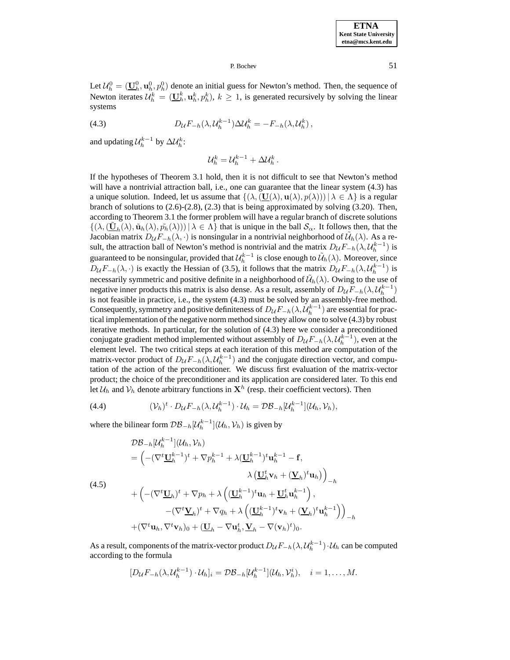Let  $\mathcal{U}_h^0 = (\underline{\mathbf{U}}_h^0, \mathbf{u}_h^0, p_h^0)$  denote an initial guess for Newton's method. Then, the sequence of Newton iterates  $\mathcal{U}_h^k = (\underline{\mathbf{U}}_h^k, \mathbf{u}_h^k, p_h^k), k \ge 1$ , is generated recursively by solving the linear systems

(4.3) 
$$
D_{\mathcal{U}}F_{-h}(\lambda, \mathcal{U}_h^{k-1})\Delta \mathcal{U}_h^k = -F_{-h}(\lambda, \mathcal{U}_h^k),
$$

and updating  $\mathcal{U}_h^{k-1}$  by  $\Delta \mathcal{U}_h^k$ :

$$
\mathcal{U}_h^k = \mathcal{U}_h^{k-1} + \Delta \mathcal{U}_h^k.
$$

If the hypotheses of Theorem 3.1 hold, then it is not difficult to see that Newton's method will have a nontrivial attraction ball, i.e., one can guarantee that the linear system  $(4.3)$  has a unique solution. Indeed, let us assume that  $\{(\lambda,(\underline{U}(\lambda),\mathbf{u}(\lambda),p(\lambda)))\,|\,\lambda\in\Lambda\}$  is a regular branch of solutions to  $(2.6)-(2.8)$ ,  $(2.3)$  that is being approximated by solving  $(3.20)$ . Then, according to Theorem 3.1 the former problem will have a regular branch of discrete solutions  $\{(\lambda,(\underline{\mathbf{U}}_h(\lambda), \tilde{\mathbf{u}}_h(\lambda), \tilde{p_h}(\lambda)))\,|\,\lambda \in \Lambda\}$  that is unique in the ball  $\mathcal{S}_{\alpha}$ . It follows then, that the Jacobian matrix  $D_{\mathcal{U}} F_{-h}(\lambda, \cdot)$  is nonsingular in a nontrivial neighborhood of  $\mathcal{U}_h(\lambda)$ . As a result, the attraction ball of Newton's method is nontrivial and the matrix  $D_{\mathcal{U}} F_{-h}(\lambda, \mathcal{U}_h^{k-1})$  is guaranteed to be nonsingular, provided that  $\mathcal{U}_h^{k-1}$  is close enough to  $\tilde{\mathcal{U}}_h(\lambda)$ . Moreover, since  $D_{\mathcal{U}} F_{-h}(\lambda, \cdot)$  is exactly the Hessian of (3.5), it follows that the matrix  $D_{\mathcal{U}} F_{-h}(\lambda, \mathcal{U}_h^{k-1})$  is necessarily symmetric and positive definite in a neighborhood of  $\tilde{\mathcal{U}}_h(\lambda)$ . Owing to the use of negative inner products this matrix is also dense. As a result, assembly of  $D_{\mathcal{U}}F_{-h}(\lambda, \mathcal{U}_h^{k-1})$ is not feasible in practice, i.e., the system (4.3) must be solved by an assembly-free method. Consequently, symmetry and positive definiteness of  $D_{\mathcal{U}} F_{-h}(\lambda, \mathcal{U}_h^{k-1})$  are essential for practical implementation of the negative norm method since they allow one to solve (4.3) by robust iterative methods. In particular, for the solution of (4.3) here we consider a preconditioned conjugate gradient method implemented without assembly of  $D_{\mathcal{U}} F_{-h}(\lambda, \mathcal{U}_h^{k-1})$ , even at the element level. The two critical steps at each iteration of this method are computation of the matrix-vector product of  $D_{\mathcal{U}} F_{-h}(\lambda, \mathcal{U}_h^{k-1})$  and the conjugate direction vector, and computation of the action of the preconditioner. We discuss first evaluation of the matrix-vector product; the choice of the preconditioner and its application are considered later. To this end let  $\mathcal{U}_h$  and  $\mathcal{V}_h$  denote arbitrary functions in  $\mathbf{X}^h$  (resp. their coefficient vectors). Then

(4.4) 
$$
(\mathcal{V}_h)^t \cdot D_{\mathcal{U}} F_{-h}(\lambda, \mathcal{U}_h^{k-1}) \cdot \mathcal{U}_h = \mathcal{D} \mathcal{B}_{-h} [\mathcal{U}_h^{k-1}] (\mathcal{U}_h, \mathcal{V}_h),
$$

where the bilinear form  $\mathcal{DB}_{-h}[{\mathcal U}_h^{k-1}]({\mathcal U}_h,{\mathcal V}_h)$  is given by

(4.5)  
\n
$$
\mathcal{D}\mathcal{B}_{-h}[\mathcal{U}_h^{k-1}](\mathcal{U}_h, \mathcal{V}_h)
$$
\n
$$
= \left( -(\nabla^t \underline{\mathbf{U}}_h^{k-1})^t + \nabla p_h^{k-1} + \lambda (\underline{\mathbf{U}}_h^{k-1})^t \mathbf{u}_h^{k-1} - \mathbf{f}, \lambda \left( \underline{\mathbf{U}}_h^t \mathbf{v}_h + (\underline{\mathbf{V}}_h)^t \mathbf{u}_h \right) \right)_{-h}
$$
\n
$$
+ \left( -(\nabla^t \underline{\mathbf{U}}_h)^t + \nabla p_h + \lambda \left( (\underline{\mathbf{U}}_h^{k-1})^t \mathbf{u}_h + \underline{\mathbf{U}}_h^t \mathbf{u}_h^{k-1} \right), \lambda \left( (\underline{\mathbf{V}}_h^{k-1})^t \mathbf{v}_h + (\underline{\mathbf{V}}_h)^t \mathbf{u}_h^{k-1} \right) \right)_{-h}
$$
\n
$$
+ (\nabla^t \underline{\mathbf{V}}_h)^t + \nabla q_h + \lambda \left( (\underline{\mathbf{U}}_h^{k-1})^t \mathbf{v}_h + (\underline{\mathbf{V}}_h)^t \mathbf{u}_h^{k-1} \right)_{-h}
$$

As a result, components of the matrix-vector product  $D_{\mathcal{U}} F_{-h}(\lambda, \mathcal{U}_h^{k-1}) \cdot \mathcal{U}_h$  can be computed according to the formula

$$
[D_{\mathcal{U}}F_{-h}(\lambda,\mathcal{U}_h^{k-1})\cdot\mathcal{U}_h]_i=\mathcal{DB}_{-h}[\mathcal{U}_h^{k-1}](\mathcal{U}_h,\mathcal{V}_h^i), \quad i=1,\ldots,M.
$$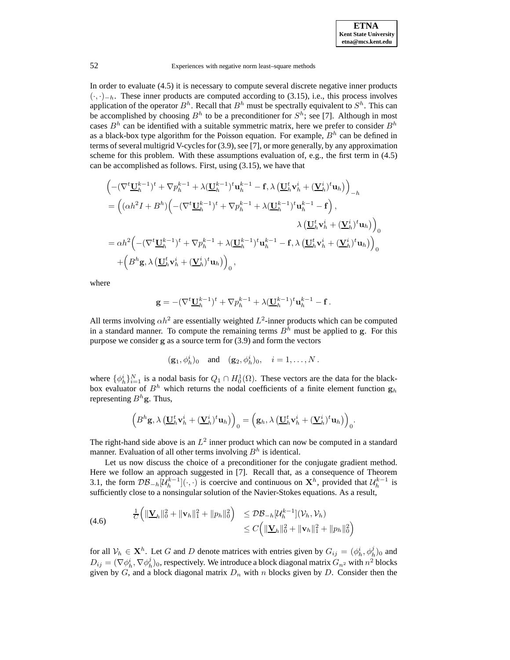In order to evaluate (4.5) it is necessary to compute several discrete negative inner products  $(\cdot, \cdot)_{-h}$ . These inner products are computed according to (3.15), i.e., this process involves application of the operator  $B^h$ . Recall that  $B^h$  must be spectrally equivalent to  $S^h$ . This can be accomplished by choosing  $B<sup>h</sup>$  to be a preconditioner for  $S<sup>h</sup>$ ; see [7]. Although in most cases  $B<sup>h</sup>$  can be identified with a suitable symmetric matrix, here we prefer to consider  $B<sup>h</sup>$ as a black-box type algorithm for the Poisson equation. For example,  $B<sup>h</sup>$  can be defined in terms of several multigrid V-cycles for (3.9), see [7], or more generally, by any approximation scheme for this problem. With these assumptions evaluation of, e.g., the first term in (4.5) can be accomplished as follows. First, using (3.15), we have that

$$
\begin{split} &\left(-(\nabla^t \underline{\mathbf{U}}_h^{k-1})^t + \nabla p_h^{k-1} + \lambda (\underline{\mathbf{U}}_h^{k-1})^t \mathbf{u}_h^{k-1} - \mathbf{f}, \lambda \left(\underline{\mathbf{U}}_h^t \mathbf{v}_h^i + (\underline{\mathbf{V}}_h^i)^t \mathbf{u}_h\right)\right)_{-h} \\ &= \left((\alpha h^2 I + B^h) \Big( -(\nabla^t \underline{\mathbf{U}}_h^{k-1})^t + \nabla p_h^{k-1} + \lambda (\underline{\mathbf{U}}_h^{k-1})^t \mathbf{u}_h^{k-1} - \mathbf{f}\right), \\ &\qquad \qquad \lambda \left(\underline{\mathbf{U}}_h^t \mathbf{v}_h^i + (\underline{\mathbf{V}}_h^i)^t \mathbf{u}_h\right)\right)_0 \\ &= \alpha h^2 \Big( -(\nabla^t \underline{\mathbf{U}}_h^{k-1})^t + \nabla p_h^{k-1} + \lambda (\underline{\mathbf{U}}_h^{k-1})^t \mathbf{u}_h^{k-1} - \mathbf{f}, \lambda \left(\underline{\mathbf{U}}_h^t \mathbf{v}_h^i + (\underline{\mathbf{V}}_h^i)^t \mathbf{u}_h\right)\Big)_0 \\ &\qquad + \Big(B^h \mathbf{g}, \lambda \left(\underline{\mathbf{U}}_h^t \mathbf{v}_h^i + (\underline{\mathbf{V}}_h^i)^t \mathbf{u}_h\right)\Big)_0, \end{split}
$$

where

$$
\mathbf{g} = -(\nabla^t \underline{\mathbf{U}}_h^{k-1})^t + \nabla p_h^{k-1} + \lambda (\underline{\mathbf{U}}_h^{k-1})^t \mathbf{u}_h^{k-1} - \mathbf{f}.
$$

All terms involving  $\alpha h^2$  are essentially weighted  $L^2$ -inner products which can be computed in a standard manner. To compute the remaining terms  $B<sup>h</sup>$  must be applied to **g**. For this purpose we consider **g** as a source term for (3.9) and form the vectors

$$
(\mathbf{g}_1, \phi_h^i)_0
$$
 and  $(\mathbf{g}_2, \phi_h^i)_0$ ,  $i = 1, \ldots, N$ .

where  $\{\phi_h^i\}_{i=1}^N$  is a nodal basis for  $Q_1 \cap H_0^1(\Omega)$ . These vectors are the data for the blackbox evaluator of  $B^h$  which returns the nodal coefficients of a finite element function  $g_h$ representing  $B^h$ **g**. Thus,

$$
\left(B^h\mathbf{g},\lambda\left(\underline{\mathbf{U}}_h^t\mathbf{v}_h^i+(\underline{\mathbf{V}}_h^i)^t\mathbf{u}_h\right)\right)_0=\left(\mathbf{g}_h,\lambda\left(\underline{\mathbf{U}}_h^t\mathbf{v}_h^i+(\underline{\mathbf{V}}_h^i)^t\mathbf{u}_h\right)\right)_0.
$$

The right-hand side above is an  $L^2$  inner product which can now be computed in a standard manner. Evaluation of all other terms involving  $B<sup>h</sup>$  is identical.

Let us now discuss the choice of a preconditioner for the conjugate gradient method. Here we follow an approach suggested in [7]. Recall that, as a consequence of Theorem 3.1, the form  $\mathcal{DB}_{-h}[\mathcal{U}_h^{k-1}](\cdot,\cdot)$  is coercive and continuous on  $\mathbf{X}^h$ , provided that  $\mathcal{U}_h^{k-1}$  is sufficiently close to a nonsingular solution of the Navier-Stokes equations. As a result,

(4.6) 
$$
\frac{1}{C} \left( \|\mathbf{V}_h\|_0^2 + \|\mathbf{v}_h\|_1^2 + \|p_h\|_0^2 \right) \leq \mathcal{DB}_{-h}[\mathcal{U}_h^{k-1}](\mathcal{V}_h, \mathcal{V}_h) \leq C \left( \|\mathbf{V}_h\|_0^2 + \|\mathbf{v}_h\|_1^2 + \|p_h\|_0^2 \right)
$$

for all  $V_h \in \mathbf{X}^h$ . Let G and D denote matrices with entries given by  $G_{ij} = (\phi_h^i, \phi_h^j)_0$  and  $D_{ij} = (\nabla \phi_h^i, \nabla \phi_h^j)_0$ , respectively. We introduce a block diagonal matrix  $G_{n^2}$  with  $n^2$  blocks given by  $G$ , and a block diagonal matrix  $D_n$  with n blocks given by  $D$ . Consider then the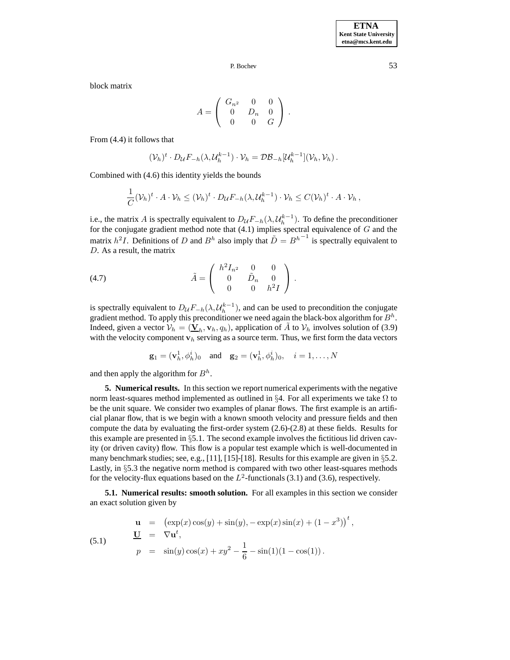,

P. Bochev 53

block matrix

$$
A = \left( \begin{array}{ccc} G_{n^2} & 0 & 0 \\ 0 & D_n & 0 \\ 0 & 0 & G \end{array} \right) .
$$

From (4.4) it follows that

$$
(\mathcal{V}_h)^t \cdot D_{\mathcal{U}} F_{-h}(\lambda, \mathcal{U}_h^{k-1}) \cdot \mathcal{V}_h = \mathcal{DB}_{-h} [\mathcal{U}_h^{k-1}] (\mathcal{V}_h, \mathcal{V}_h).
$$

Combined with (4.6) this identity yields the bounds

$$
\frac{1}{C}(\mathcal{V}_h)^t \cdot A \cdot \mathcal{V}_h \leq (\mathcal{V}_h)^t \cdot D_{\mathcal{U}} F_{-h}(\lambda, \mathcal{U}_h^{k-1}) \cdot \mathcal{V}_h \leq C(\mathcal{V}_h)^t \cdot A \cdot \mathcal{V}_h,
$$

i.e., the matrix A is spectrally equivalent to  $D_{\mathcal{U}} F_{-h}(\lambda, \mathcal{U}_h^{k-1})$ . To define the preconditioner for the conjugate gradient method note that  $(4.1)$  implies spectral equivalence of G and the matrix  $h^2I$ . Definitions of D and B<sup>h</sup> also imply that  $\tilde{D} = B^{h^{-1}}$  is spectrally equivalent to D. As a result, the matrix

(4.7) 
$$
\tilde{A} = \begin{pmatrix} h^2 I_{n^2} & 0 & 0 \\ 0 & \tilde{D}_n & 0 \\ 0 & 0 & h^2 I \end{pmatrix}.
$$

is spectrally equivalent to  $D_{\mathcal{U}} F_{-h}(\lambda, \mathcal{U}_h^{k-1})$ , and can be used to precondition the conjugate gradient method. To apply this preconditioner we need again the black-box algorithm for  $B<sup>h</sup>$ . Indeed, given a vector  $V_h = (\underline{V}_h, v_h, q_h)$ , application of A to  $V_h$  involves solution of (3.9) with the velocity component  $\mathbf{v}_h$  serving as a source term. Thus, we first form the data vectors

$$
\mathbf{g}_1 = (\mathbf{v}_h^1, \phi_h^i)_0 \quad \text{and} \quad \mathbf{g}_2 = (\mathbf{v}_h^1, \phi_h^i)_0, \quad i = 1, \dots, N
$$

and then apply the algorithm for  $B^h$ .

**5. Numerical results.** In this section we report numerical experiments with the negative norm least-squares method implemented as outlined in §4. For all experiments we take  $\Omega$  to be the unit square. We consider two examples of planar flows. The first example is an artificial planar flow, that is we begin with a known smooth velocity and pressure fields and then compute the data by evaluating the first-order system (2.6)-(2.8) at these fields. Results for this example are presented in §5.1. The second example involves the fictitious lid driven cavity (or driven cavity) flow. This flow is a popular test example which is well-documented in many benchmark studies; see, e.g., [11], [15]-[18]. Results for this example are given in §5.2. Lastly, in §5.3 the negative norm method is compared with two other least-squares methods for the velocity-flux equations based on the  $L^2$ -functionals (3.1) and (3.6), respectively.

**5.1. Numerical results: smooth solution.** For all examples in this section we consider an exact solution given by

(5.1) 
$$
\mathbf{u} = (\exp(x)\cos(y) + \sin(y), -\exp(x)\sin(x) + (1 - x^3))^t \n\underline{\mathbf{U}} = \nabla \mathbf{u}^t, \np = \sin(y)\cos(x) + xy^2 - \frac{1}{6} - \sin(1)(1 - \cos(1)).
$$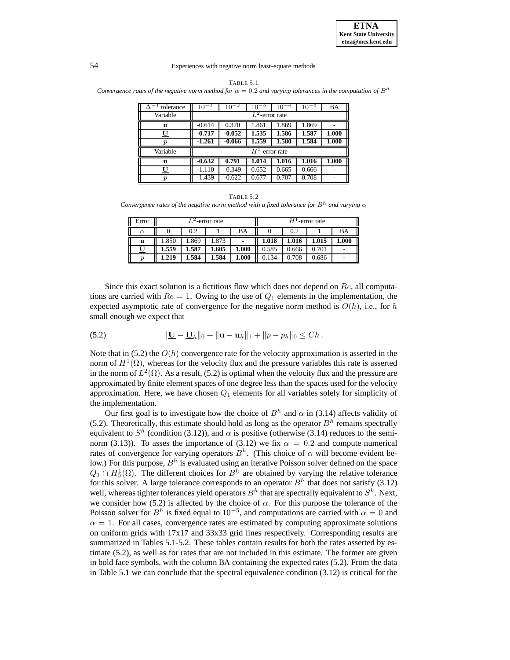

TABLE 5.1

*Convergence rates of the negative norm method for*  $\alpha = 0.2$  *and varying tolerances in the computation of*  $B<sup>h</sup>$ 

| $\Delta^{-1}$<br>tolerance | $10^{-1}$                    | $10^{-2}$ | $10^{-3}$         | $10^{-4}$ | $10^{-5}$ | BA    |
|----------------------------|------------------------------|-----------|-------------------|-----------|-----------|-------|
| Variable                   | $\overline{L^2}$ -error rate |           |                   |           |           |       |
| u                          | $-0.614$                     | 0.370     | 1.861             | 1.869     | 1.869     |       |
| U                          | $-0.717$                     | $-0.052$  | 1.535             | 1.586     | 1.587     | 1.000 |
| $\boldsymbol{v}$           | $-1.261$                     | $-0.066$  | 1.559             | 1.580     | 1.584     | 1.000 |
|                            |                              |           |                   |           |           |       |
| Variable                   |                              |           | $H^1$ -error rate |           |           |       |
| $\mathbf{u}$               | $-0.632$                     | 0.791     | 1.014             | 1.016     | 1.016     | 1.000 |
|                            | $-1.110$                     | $-0.349$  | 0.652             | 0.665     | 0.666     |       |

TABLE 5.2 *Convergence rates of the negative norm method with a fixed tolerance for*  $B<sup>h</sup>$  *and varying*  $\alpha$ 

| Error<br>-error rate |       |       |       | -error rate |       |       |       |       |
|----------------------|-------|-------|-------|-------------|-------|-------|-------|-------|
| $\alpha$             |       | 0.2   |       | BA          |       | 0.2   |       | BA    |
| u                    | .850  | .869  | .873  |             | 1.018 | 1.016 | 1.015 | 1.000 |
|                      | 1.559 | 1.587 | 1.605 | 1.000       | 0.585 | 0.666 | 0.701 |       |
| $\eta$               | 1.219 | 1.584 | 1.584 | 1.000       | 0.134 | 0.708 | 0.686 | -     |

Since this exact solution is a fictitious flow which does not depend on Re, all computations are carried with  $Re = 1$ . Owing to the use of  $Q_1$  elements in the implementation, the expected asymptotic rate of convergence for the negative norm method is  $O(h)$ , i.e., for h small enough we expect that

(5.2) 
$$
\|\underline{\mathbf{U}} - \underline{\mathbf{U}}_h\|_0 + \|\mathbf{u} - \mathbf{u}_h\|_1 + \|p - p_h\|_0 \leq Ch.
$$

Note that in (5.2) the  $O(h)$  convergence rate for the velocity approximation is asserted in the norm of  $H^1(\Omega)$ , whereas for the velocity flux and the pressure variables this rate is asserted in the norm of  $L^2(\Omega)$ . As a result, (5.2) is optimal when the velocity flux and the pressure are approximated by finite element spaces of one degree less than the spaces used for the velocity approximation. Here, we have chosen  $Q_1$  elements for all variables solely for simplicity of the implementation.

Our first goal is to investigate how the choice of  $B<sup>h</sup>$  and  $\alpha$  in (3.14) affects validity of (5.2). Theoretically, this estimate should hold as long as the operator  $B<sup>h</sup>$  remains spectrally equivalent to  $S<sup>h</sup>$  (condition (3.12)), and  $\alpha$  is positive (otherwise (3.14) reduces to the seminorm (3.13)). To asses the importance of (3.12) we fix  $\alpha = 0.2$  and compute numerical rates of convergence for varying operators  $B<sup>h</sup>$ . (This choice of  $\alpha$  will become evident below.) For this purpose,  $B<sup>h</sup>$  is evaluated using an iterative Poisson solver defined on the space  $Q_1 \cap H_0^1(\Omega)$ . The different choices for  $B^h$  are obtained by varying the relative tolerance for this solver. A large tolerance corresponds to an operator  $B<sup>h</sup>$  that does not satisfy (3.12) well, whereas tighter tolerances yield operators  $B<sup>h</sup>$  that are spectrally equivalent to  $S<sup>h</sup>$ . Next, we consider how (5.2) is affected by the choice of  $\alpha$ . For this purpose the tolerance of the Poisson solver for  $B<sup>h</sup>$  is fixed equal to 10<sup>-5</sup>, and computations are carried with  $\alpha = 0$  and  $\alpha = 1$ . For all cases, convergence rates are estimated by computing approximate solutions on uniform grids with 17x17 and 33x33 grid lines respectively. Corresponding results are summarized in Tables 5.1-5.2. These tables contain results for both the rates asserted by estimate (5.2), as well as for rates that are not included in this estimate. The former are given in bold face symbols, with the column BA containing the expected rates (5.2). From the data in Table 5.1 we can conclude that the spectral equivalence condition (3.12) is critical for the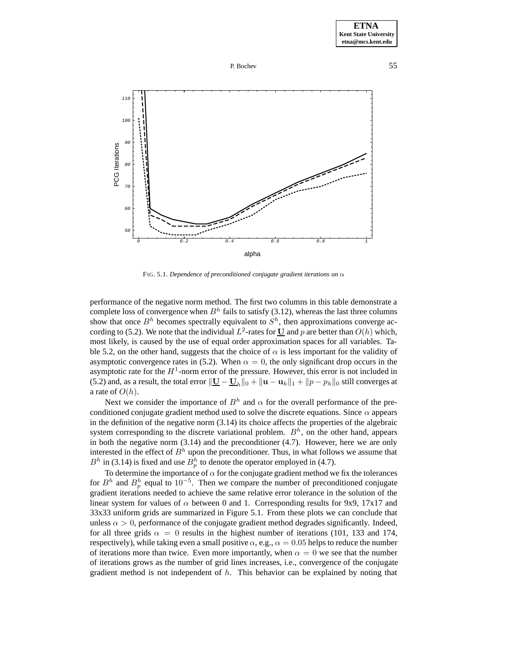

**ETNA**



FIG. 5.1. *Dependence of preconditioned conjugate gradient iterations on* α

performance of the negative norm method. The first two columns in this table demonstrate a complete loss of convergence when  $B<sup>h</sup>$  fails to satisfy (3.12), whereas the last three columns show that once  $B<sup>h</sup>$  becomes spectrally equivalent to  $S<sup>h</sup>$ , then approximations converge according to (5.2). We note that the individual  $L^2$ -rates for **U** and p are better than  $O(h)$  which, most likely, is caused by the use of equal order approximation spaces for all variables. Table 5.2, on the other hand, suggests that the choice of  $\alpha$  is less important for the validity of asymptotic convergence rates in (5.2). When  $\alpha = 0$ , the only significant drop occurs in the asymptotic rate for the  $H<sup>1</sup>$ -norm error of the pressure. However, this error is not included in (5.2) and, as a result, the total error  $\|\underline{\mathbf{U}} - \underline{\mathbf{U}}_h\|_0 + \|\mathbf{u} - \mathbf{u}_h\|_1 + \|p - p_h\|_0$  still converges at a rate of  $O(h)$ .

Next we consider the importance of  $B<sup>h</sup>$  and  $\alpha$  for the overall performance of the preconditioned conjugate gradient method used to solve the discrete equations. Since  $\alpha$  appears in the definition of the negative norm (3.14) its choice affects the properties of the algebraic system corresponding to the discrete variational problem.  $B<sup>h</sup>$ , on the other hand, appears in both the negative norm  $(3.14)$  and the preconditioner  $(4.7)$ . However, here we are only interested in the effect of  $B<sup>h</sup>$  upon the preconditioner. Thus, in what follows we assume that  $B<sup>h</sup>$  in (3.14) is fixed and use  $B<sup>h</sup><sub>p</sub>$  to denote the operator employed in (4.7).

To determine the importance of  $\alpha$  for the conjugate gradient method we fix the tolerances for  $B<sup>h</sup>$  and  $B<sup>h</sup><sub>p</sub>$  equal to  $10<sup>-5</sup>$ . Then we compare the number of preconditioned conjugate gradient iterations needed to achieve the same relative error tolerance in the solution of the linear system for values of  $\alpha$  between 0 and 1. Corresponding results for 9x9, 17x17 and 33x33 uniform grids are summarized in Figure 5.1. From these plots we can conclude that unless  $\alpha > 0$ , performance of the conjugate gradient method degrades significantly. Indeed, for all three grids  $\alpha = 0$  results in the highest number of iterations (101, 133 and 174, respectively), while taking even a small positive  $\alpha$ , e.g.,  $\alpha = 0.05$  helps to reduce the number of iterations more than twice. Even more importantly, when  $\alpha = 0$  we see that the number of iterations grows as the number of grid lines increases, i.e., convergence of the conjugate gradient method is not independent of  $h$ . This behavior can be explained by noting that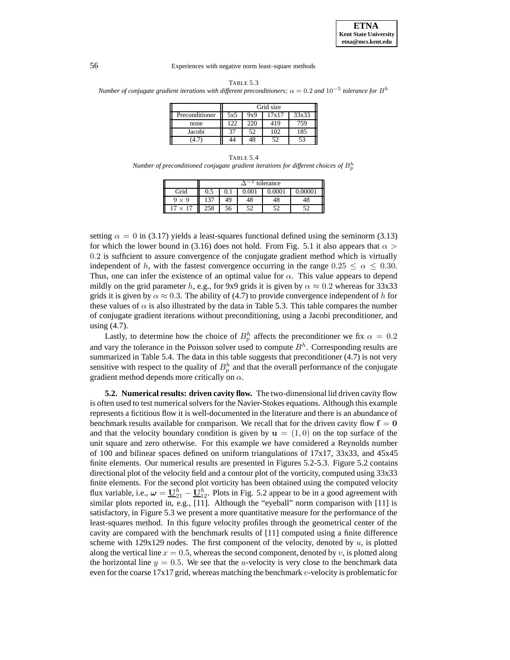| BL.<br>А |  |
|----------|--|
|----------|--|

*Number of conjugate gradient iterations with different preconditioners;*  $\alpha = 0.2$  *and*  $10^{-5}$  *tolerance for*  $B<sup>h</sup>$ 

|                | Grid size |     |       |       |  |  |
|----------------|-----------|-----|-------|-------|--|--|
| Preconditioner | 5x5       | 9x9 | 17x17 | 33x33 |  |  |
| none           | 122       | 220 | 419   | 759   |  |  |
| Jacobi         | 37        | 52  | 102   | 185   |  |  |
|                | 14        | 48  | 52    | 53    |  |  |

|  | ۰, |
|--|----|
|--|----|

Number of preconditioned conjugate gradient iterations for different choices of  $B_p^{\rm h}$ 

|                    | tolerance |    |           |        |     |  |
|--------------------|-----------|----|-----------|--------|-----|--|
| Grid               | 0.5       |    | $0.001\,$ | ገ በበበ1 | ററവ |  |
| 9<br>9<br>$\times$ | 137       | 49 | 48        | 48     | 48  |  |
| $1 -$<br>17        | 258       | 56 | 52        | 50     | 50  |  |

setting  $\alpha = 0$  in (3.17) yields a least-squares functional defined using the seminorm (3.13) for which the lower bound in (3.16) does not hold. From Fig. 5.1 it also appears that  $\alpha$ 0.2 is sufficient to assure convergence of the conjugate gradient method which is virtually independent of h, with the fastest convergence occurring in the range  $0.25 \le \alpha \le 0.30$ . Thus, one can infer the existence of an optimal value for  $\alpha$ . This value appears to depend mildly on the grid parameter h, e.g., for 9x9 grids it is given by  $\alpha \approx 0.2$  whereas for 33x33 grids it is given by  $\alpha \approx 0.3$ . The ability of (4.7) to provide convergence independent of h for these values of  $\alpha$  is also illustrated by the data in Table 5.3. This table compares the number of conjugate gradient iterations without preconditioning, using a Jacobi preconditioner, and using (4.7).

Lastly, to determine how the choice of  $B_p^h$  affects the preconditioner we fix  $\alpha = 0.2$ and vary the tolerance in the Poisson solver used to compute  $B<sup>h</sup>$ . Corresponding results are summarized in Table 5.4. The data in this table suggests that preconditioner (4.7) is not very sensitive with respect to the quality of  $B_p^h$  and that the overall performance of the conjugate gradient method depends more critically on  $\alpha$ .

**5.2. Numerical results: driven cavity flow.** The two-dimensional lid driven cavity flow is often used to test numerical solvers for the Navier-Stokes equations. Although this example represents a fictitious flow it is well-documented in the literature and there is an abundance of benchmark results available for comparison. We recall that for the driven cavity flow  $f = 0$ and that the velocity boundary condition is given by  $\mathbf{u} = (1,0)$  on the top surface of the unit square and zero otherwise. For this example we have considered a Reynolds number of 100 and bilinear spaces defined on uniform triangulations of  $17x17$ ,  $33x33$ , and  $45x45$ finite elements. Our numerical results are presented in Figures 5.2-5.3. Figure 5.2 contains directional plot of the velocity field and a contour plot of the vorticity, computed using 33x33 finite elements. For the second plot vorticity has been obtained using the computed velocity flux variable, i.e.,  $\omega = \underline{U}_{21}^h - \underline{U}_{12}^h$ . Plots in Fig. 5.2 appear to be in a good agreement with similar plots reported in, e.g., [11]. Although the "eyeball" norm comparison with [11] is satisfactory, in Figure 5.3 we present a more quantitative measure for the performance of the least-squares method. In this figure velocity profiles through the geometrical center of the cavity are compared with the benchmark results of [11] computed using a finite difference scheme with 129x129 nodes. The first component of the velocity, denoted by  $u$ , is plotted along the vertical line  $x = 0.5$ , whereas the second component, denoted by v, is plotted along the horizontal line  $y = 0.5$ . We see that the u-velocity is very close to the benchmark data even for the coarse 17x17 grid, whereas matching the benchmark v-velocity is problematic for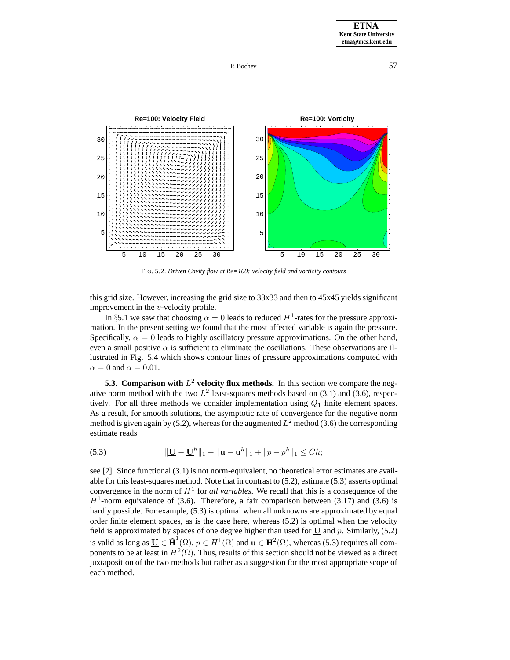



FIG. 5.2. *Driven Cavity flow at Re=100: velocity field and vorticity contours*

this grid size. However, increasing the grid size to 33x33 and then to 45x45 yields significant improvement in the  $v$ -velocity profile.

In §5.1 we saw that choosing  $\alpha = 0$  leads to reduced  $H^1$ -rates for the pressure approximation. In the present setting we found that the most affected variable is again the pressure. Specifically,  $\alpha = 0$  leads to highly oscillatory pressure approximations. On the other hand, even a small positive  $\alpha$  is sufficient to eliminate the oscillations. These observations are illustrated in Fig. 5.4 which shows contour lines of pressure approximations computed with  $\alpha = 0$  and  $\alpha = 0.01$ .

**5.3. Comparison with**  $L^2$  **velocity flux methods.** In this section we compare the negative norm method with the two  $L^2$  least-squares methods based on (3.1) and (3.6), respectively. For all three methods we consider implementation using  $Q_1$  finite element spaces. As a result, for smooth solutions, the asymptotic rate of convergence for the negative norm method is given again by (5.2), whereas for the augmented  $L^2$  method (3.6) the corresponding estimate reads

(5.3) 
$$
\|\underline{\mathbf{U}} - \underline{\mathbf{U}}^h\|_1 + \|\mathbf{u} - \mathbf{u}^h\|_1 + \|p - p^h\|_1 \leq Ch;
$$

see [2]. Since functional (3.1) is not norm-equivalent, no theoretical error estimates are available for this least-squares method. Note that in contrast to (5.2), estimate (5.3) asserts optimal convergence in the norm of  $H<sup>1</sup>$  for *all variables*. We recall that this is a consequence of the  $H<sup>1</sup>$ -norm equivalence of (3.6). Therefore, a fair comparison between (3.17) and (3.6) is hardly possible. For example, (5.3) is optimal when all unknowns are approximated by equal order finite element spaces, as is the case here, whereas (5.2) is optimal when the velocity field is approximated by spaces of one degree higher than used for  $\underline{U}$  and p. Similarly, (5.2) is valid as long as  $\underline{\mathbf{U}} \in \tilde{\mathbf{H}}^1(\Omega)$ ,  $p \in H^1(\Omega)$  and  $\mathbf{u} \in \mathbf{H}^2(\Omega)$ , whereas (5.3) requires all components to be at least in  $H^2(\Omega)$ . Thus, results of this section should not be viewed as a direct juxtaposition of the two methods but rather as a suggestion for the most appropriate scope of each method.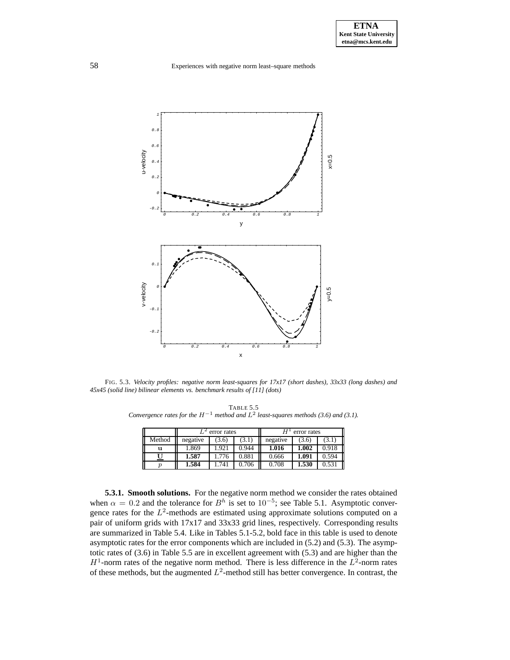

FIG. 5.3. *Velocity profiles: negative norm least-squares for 17x17 (short dashes), 33x33 (long dashes) and 45x45 (solid line) bilinear elements vs. benchmark results of [11] (dots)*

TABLE 5.5 *Convergence rates for the*  $H^{-1}$  *method and*  $L^2$  *least-squares methods (3.6) and (3.1).* 

|        | error rates |       |       | error rates |       |       |
|--------|-------------|-------|-------|-------------|-------|-------|
| Method | negative    | (3.6) | (3.1) | negative    | (3.6) | (3.1) |
| u      | 1.869       | .921  | 0.944 | 1.016       | 1.002 | 0.918 |
|        | 1.587       | .776  | 0.881 | 0.666       | 1.091 | 0.594 |
|        | 1.584       | 741   | 0.706 | 0.708       | 1.530 | 0.531 |

**5.3.1. Smooth solutions.** For the negative norm method we consider the rates obtained when  $\alpha = 0.2$  and the tolerance for  $B<sup>h</sup>$  is set to 10<sup>-5</sup>; see Table 5.1. Asymptotic convergence rates for the  $L^2$ -methods are estimated using approximate solutions computed on a pair of uniform grids with 17x17 and 33x33 grid lines, respectively. Corresponding results are summarized in Table 5.4. Like in Tables 5.1-5.2, bold face in this table is used to denote asymptotic rates for the error components which are included in (5.2) and (5.3). The asymptotic rates of (3.6) in Table 5.5 are in excellent agreement with (5.3) and are higher than the  $H<sup>1</sup>$ -norm rates of the negative norm method. There is less difference in the  $L<sup>2</sup>$ -norm rates of these methods, but the augmented  $L^2$ -method still has better convergence. In contrast, the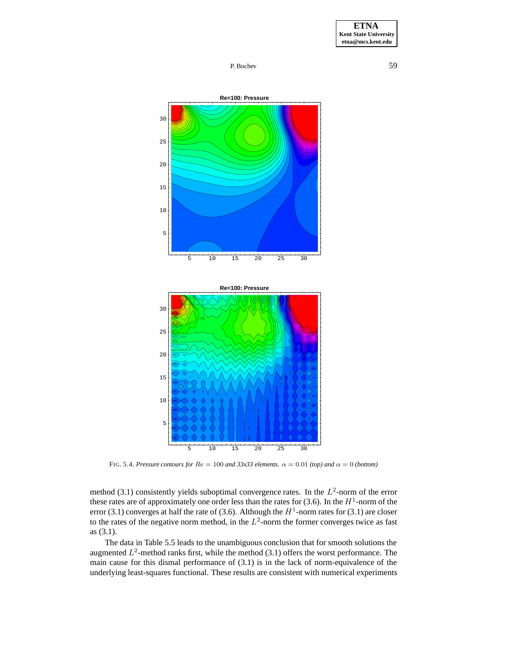

FIG. 5.4. *Pressure contours for*  $Re = 100$  *and* 33x33 elements.  $\alpha = 0.01$  (top) and  $\alpha = 0$  (bottom)

method (3.1) consistently yields suboptimal convergence rates. In the  $L^2$ -norm of the error these rates are of approximately one order less than the rates for (3.6). In the  $H<sup>1</sup>$ -norm of the error (3.1) converges at half the rate of (3.6). Although the  $H^1$ -norm rates for (3.1) are closer to the rates of the negative norm method, in the  $L^2$ -norm the former converges twice as fast as (3.1).

The data in Table 5.5 leads to the unambiguous conclusion that for smooth solutions the augmented  $L^2$ -method ranks first, while the method (3.1) offers the worst performance. The main cause for this dismal performance of (3.1) is in the lack of norm-equivalence of the underlying least-squares functional. These results are consistent with numerical experiments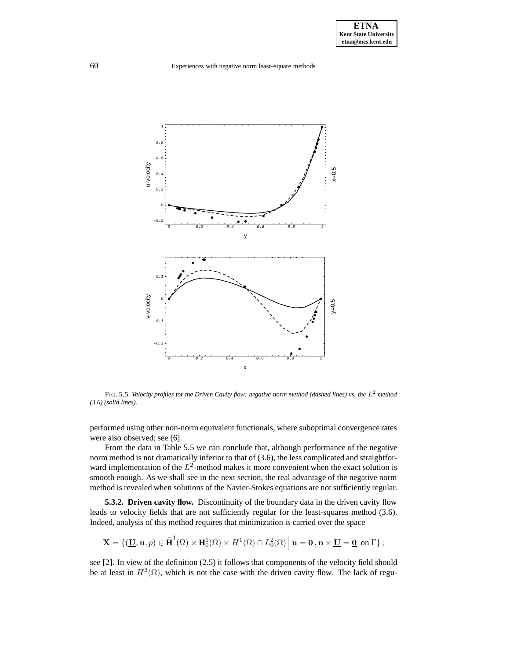

FIG. 5.5. *Velocity profiles for the Driven Cavity flow: negative norm method (dashed lines) vs. the*  $L^2$  *method (3.6) (solid lines).*

performed using other non-norm equivalent functionals, where suboptimal convergence rates were also observed; see [6].

From the data in Table 5.5 we can conclude that, although performance of the negative norm method is not dramatically inferior to that of (3.6), the less complicated and straightforward implementation of the  $L^2$ -method makes it more convenient when the exact solution is smooth enough. As we shall see in the next section, the real advantage of the negative norm method is revealed when solutions of the Navier-Stokes equations are not sufficiently regular.

**5.3.2. Driven cavity flow.** Discontinuity of the boundary data in the driven cavity flow leads to velocity fields that are not sufficiently regular for the least-squares method (3.6). Indeed, analysis of this method requires that minimization is carried over the space

$$
\mathbf{X} = \{ (\underline{\mathbf{U}}, \mathbf{u}, p) \in \tilde{\mathbf{H}}^1(\Omega) \times \mathbf{H}_0^1(\Omega) \times H^1(\Omega) \cap L_0^2(\Omega) \mid \mathbf{u} = \mathbf{0}, \mathbf{n} \times \underline{\mathbf{U}} = \underline{\mathbf{0}} \text{ on } \Gamma \};
$$

see [2]. In view of the definition (2.5) it follows that components of the velocity field should be at least in  $H^2(\Omega)$ , which is not the case with the driven cavity flow. The lack of regu-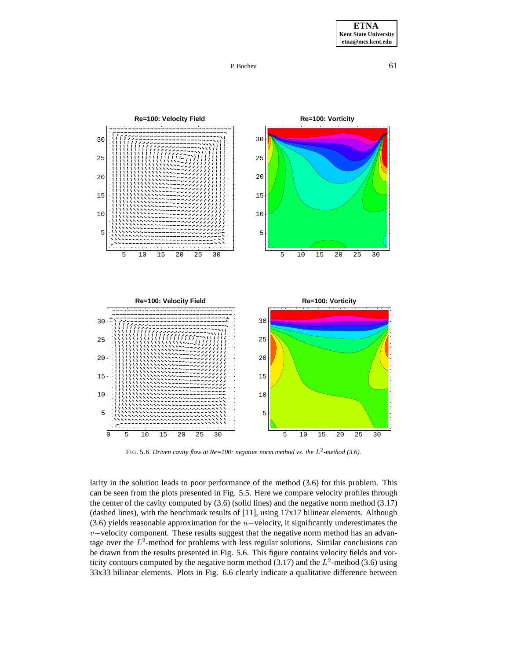



FIG. 5.6. *Driven cavity flow at Re=100: negative norm method vs. the*  $L^2$ -method (3.6).

larity in the solution leads to poor performance of the method (3.6) for this problem. This can be seen from the plots presented in Fig. 5.5. Here we compare velocity profiles through the center of the cavity computed by (3.6) (solid lines) and the negative norm method (3.17) (dashed lines), with the benchmark results of [11], using 17x17 bilinear elements. Although (3.6) yields reasonable approximation for the  $u$  –velocity, it significantly underestimates the v−velocity component. These results suggest that the negative norm method has an advantage over the  $L^2$ -method for problems with less regular solutions. Similar conclusions can be drawn from the results presented in Fig. 5.6. This figure contains velocity fields and vorticity contours computed by the negative norm method (3.17) and the  $L^2$ -method (3.6) using 33x33 bilinear elements. Plots in Fig. 6.6 clearly indicate a qualitative difference between